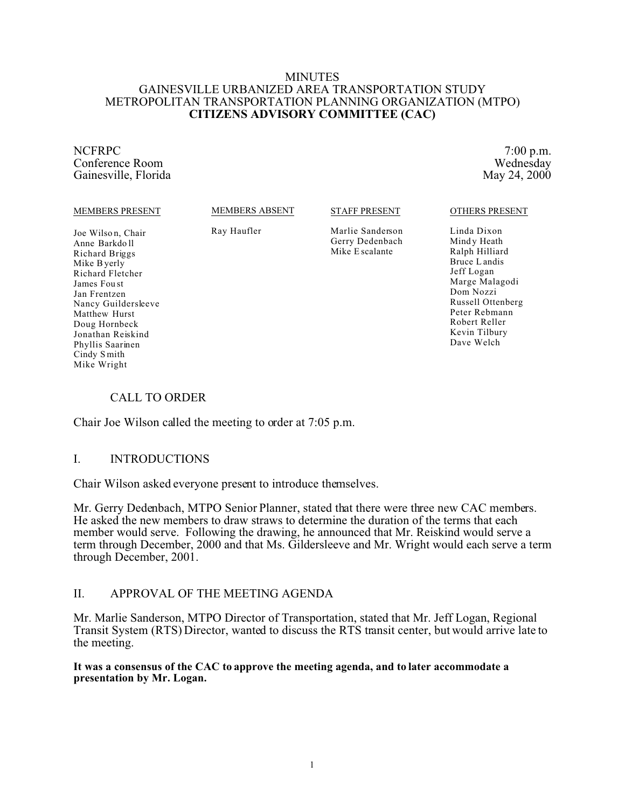#### MINUTES GAINESVILLE URBANIZED AREA TRANSPORTATION STUDY METROPOLITAN TRANSPORTATION PLANNING ORGANIZATION (MTPO) **CITIZENS ADVISORY COMMITTEE (CAC)**

NCFRPC 7:00 p.m. Conference Room Wednesday<br>
Gainesville, Florida May 24, 2000 Gainesville, Florida

#### MEMBERS PRESENT

MEMBERS ABSENT

STAFF PRESENT

Joe Wilson, Chair Anne Barkdo ll Richard Briggs Mike Byerly Richard Fletcher James Fou st Jan Frentzen Nancy Guildersleeve Matthew Hurst Doug Hornbeck Jonathan Reiskind Phyllis Saarinen Cindy S mith Mike Wright

Ray Haufler

Marlie Sanderson Gerry Dedenbach Mike E scalante

OTHERS PRESENT

Linda Dixon Mindy Heath Ralph Hilliard Bruce L andis Jeff Logan Marge Malagodi Dom Nozzi Russell Ottenberg Peter Rebmann Robert Reller Kevin Tilbury Dave Welch

# CALL TO ORDER

Chair Joe Wilson called the meeting to order at 7:05 p.m.

# I. INTRODUCTIONS

Chair Wilson asked everyone present to introduce themselves.

Mr. Gerry Dedenbach, MTPO Senior Planner, stated that there were three new CAC members. He asked the new members to draw straws to determine the duration of the terms that each member would serve. Following the drawing, he announced that Mr. Reiskind would serve a term through December, 2000 and that Ms. Gildersleeve and Mr. Wright would each serve a term through December, 2001.

# II. APPROVAL OF THE MEETING AGENDA

Mr. Marlie Sanderson, MTPO Director of Transportation, stated that Mr. Jeff Logan, Regional Transit System (RTS) Director, wanted to discuss the RTS transit center, but would arrive late to the meeting.

### **It was a consensus of the CAC to approve the meeting agenda, and to later accommodate a presentation by Mr. Logan.**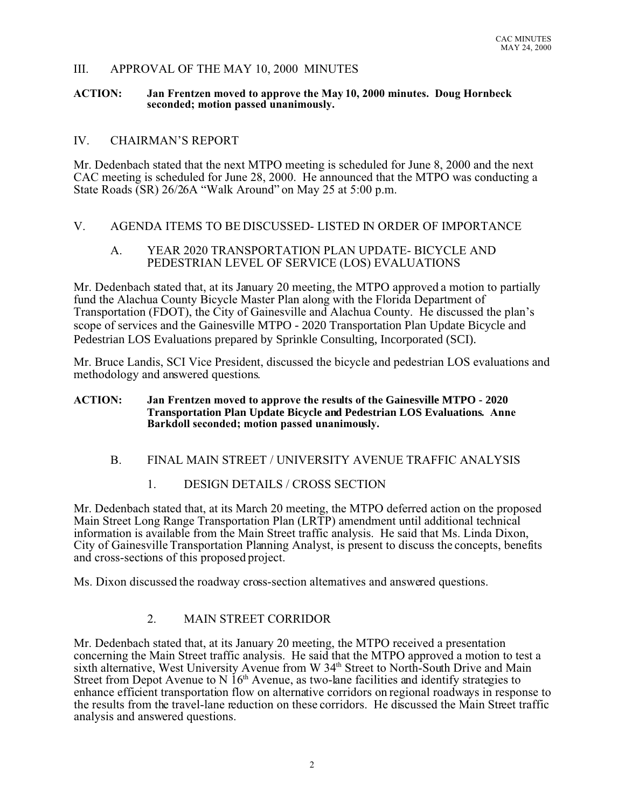# III. APPROVAL OF THE MAY 10, 2000 MINUTES

#### **ACTION: Jan Frentzen moved to approve the May 10, 2000 minutes. Doug Hornbeck seconded; motion passed unanimously.**

# IV. CHAIRMAN'S REPORT

Mr. Dedenbach stated that the next MTPO meeting is scheduled for June 8, 2000 and the next CAC meeting is scheduled for June 28, 2000. He announced that the MTPO was conducting a State Roads (SR) 26/26A "Walk Around" on May 25 at 5:00 p.m.

# V. AGENDA ITEMS TO BE DISCUSSED- LISTED IN ORDER OF IMPORTANCE

## A. YEAR 2020 TRANSPORTATION PLAN UPDATE- BICYCLE AND PEDESTRIAN LEVEL OF SERVICE (LOS) EVALUATIONS

Mr. Dedenbach stated that, at its January 20 meeting, the MTPO approved a motion to partially fund the Alachua County Bicycle Master Plan along with the Florida Department of Transportation (FDOT), the City of Gainesville and Alachua County. He discussed the plan's scope of services and the Gainesville MTPO - 2020 Transportation Plan Update Bicycle and Pedestrian LOS Evaluations prepared by Sprinkle Consulting, Incorporated (SCI).

Mr. Bruce Landis, SCI Vice President, discussed the bicycle and pedestrian LOS evaluations and methodology and answered questions.

### **ACTION: Jan Frentzen moved to approve the results of the Gainesville MTPO - 2020 Transportation Plan Update Bicycle and Pedestrian LOS Evaluations. Anne Barkdoll seconded; motion passed unanimously.**

# B. FINAL MAIN STREET / UNIVERSITY AVENUE TRAFFIC ANALYSIS

# 1. DESIGN DETAILS / CROSS SECTION

Mr. Dedenbach stated that, at its March 20 meeting, the MTPO deferred action on the proposed Main Street Long Range Transportation Plan (LRTP) amendment until additional technical information is available from the Main Street traffic analysis. He said that Ms. Linda Dixon, City of Gainesville Transportation Planning Analyst, is present to discuss the concepts, benefits and cross-sections of this proposed project.

Ms. Dixon discussed the roadway cross-section alternatives and answered questions.

# 2. MAIN STREET CORRIDOR

Mr. Dedenbach stated that, at its January 20 meeting, the MTPO received a presentation concerning the Main Street traffic analysis. He said that the MTPO approved a motion to test a sixth alternative, West University Avenue from W 34<sup>th</sup> Street to North-South Drive and Main Street from Depot Avenue to N  $16<sup>th</sup>$  Avenue, as two-lane facilities and identify strategies to enhance efficient transportation flow on alternative corridors on regional roadways in response to the results from the travel-lane reduction on these corridors. He discussed the Main Street traffic analysis and answered questions.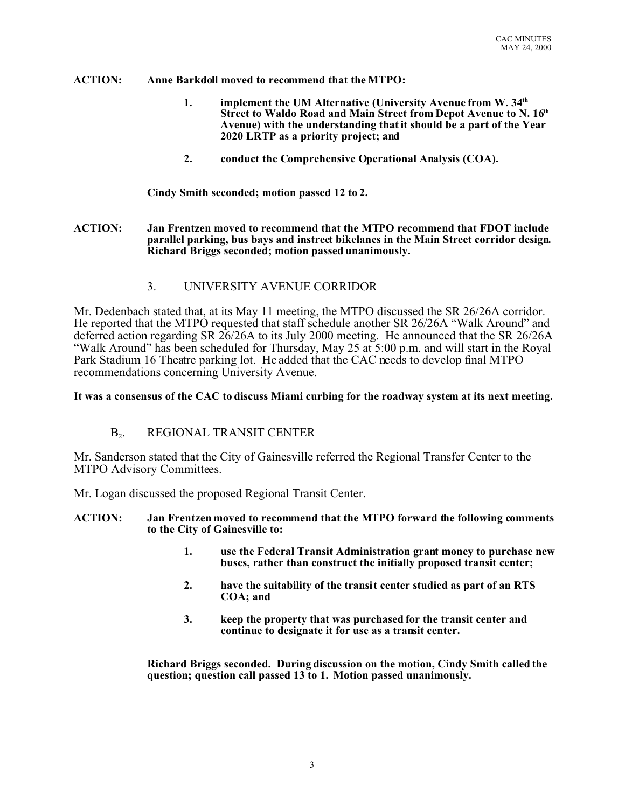### **ACTION: Anne Barkdoll moved to recommend that the MTPO:**

- **1. implement the UM Alternative (University Avenue from W. 34th Street to Waldo Road and Main Street from Depot Avenue to N. 16th Avenue) with the understanding that it should be a part of the Year 2020 LRTP as a priority project; and**
- **2. conduct the Comprehensive Operational Analysis (COA).**

**Cindy Smith seconded; motion passed 12 to 2.**

- **ACTION: Jan Frentzen moved to recommend that the MTPO recommend that FDOT include parallel parking, bus bays and instreet bikelanes in the Main Street corridor design. Richard Briggs seconded; motion passed unanimously.**
	- 3. UNIVERSITY AVENUE CORRIDOR

Mr. Dedenbach stated that, at its May 11 meeting, the MTPO discussed the SR 26/26A corridor. He reported that the MTPO requested that staff schedule another SR 26/26A "Walk Around" and deferred action regarding SR 26/26A to its July 2000 meeting. He announced that the SR 26/26A "Walk Around" has been scheduled for Thursday, May 25 at 5:00 p.m. and will start in the Royal Park Stadium 16 Theatre parking lot. He added that the CAC needs to develop final MTPO recommendations concerning University Avenue.

#### **It was a consensus of the CAC to discuss Miami curbing for the roadway system at its next meeting.**

#### $B<sub>2</sub>$ . . REGIONAL TRANSIT CENTER

Mr. Sanderson stated that the City of Gainesville referred the Regional Transfer Center to the MTPO Advisory Committees.

Mr. Logan discussed the proposed Regional Transit Center.

**ACTION: Jan Frentzen moved to recommend that the MTPO forward the following comments to the City of Gainesville to:**

- **1. use the Federal Transit Administration grant money to purchase new buses, rather than construct the initially proposed transit center;**
- **2. have the suitability of the transit center studied as part of an RTS COA; and**
- **3. keep the property that was purchased for the transit center and continue to designate it for use as a transit center.**

**Richard Briggs seconded. During discussion on the motion, Cindy Smith called the question; question call passed 13 to 1. Motion passed unanimously.**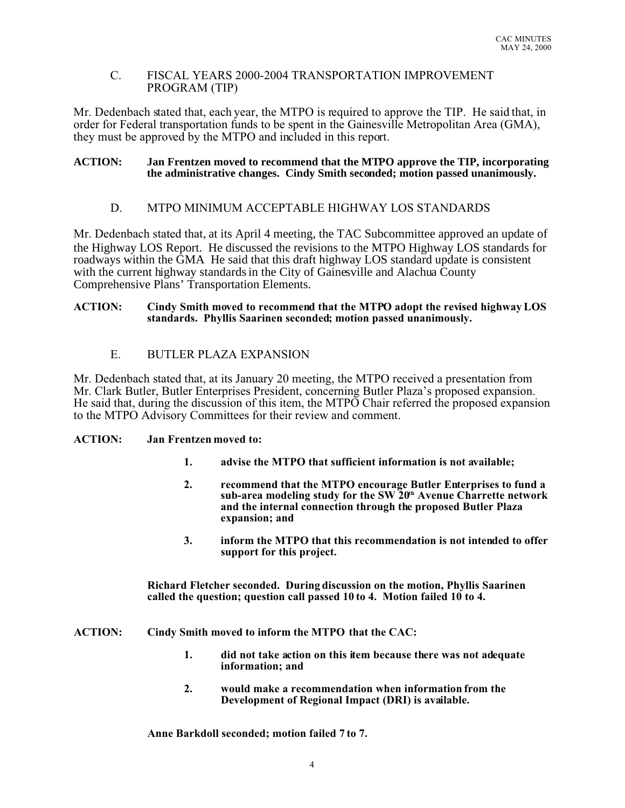## C. FISCAL YEARS 2000-2004 TRANSPORTATION IMPROVEMENT PROGRAM (TIP)

Mr. Dedenbach stated that, each year, the MTPO is required to approve the TIP. He said that, in order for Federal transportation funds to be spent in the Gainesville Metropolitan Area (GMA), they must be approved by the MTPO and included in this report.

#### **ACTION: Jan Frentzen moved to recommend that the MTPO approve the TIP, incorporating the administrative changes. Cindy Smith seconded; motion passed unanimously.**

# D. MTPO MINIMUM ACCEPTABLE HIGHWAY LOS STANDARDS

Mr. Dedenbach stated that, at its April 4 meeting, the TAC Subcommittee approved an update of the Highway LOS Report. He discussed the revisions to the MTPO Highway LOS standards for roadways within the GMA He said that this draft highway LOS standard update is consistent with the current highway standards in the City of Gainesville and Alachua County Comprehensive Plans' Transportation Elements.

#### **ACTION: Cindy Smith moved to recommend that the MTPO adopt the revised highway LOS standards. Phyllis Saarinen seconded; motion passed unanimously.**

# E. BUTLER PLAZA EXPANSION

Mr. Dedenbach stated that, at its January 20 meeting, the MTPO received a presentation from Mr. Clark Butler, Butler Enterprises President, concerning Butler Plaza's proposed expansion. He said that, during the discussion of this item, the MTPO Chair referred the proposed expansion to the MTPO Advisory Committees for their review and comment.

### **ACTION: Jan Frentzen moved to:**

- **1. advise the MTPO that sufficient information is not available;**
- **2. recommend that the MTPO encourage Butler Enterprises to fund a sub-area modeling study for the SW 20th Avenue Charrette network and the internal connection through the proposed Butler Plaza expansion; and**
- **3. inform the MTPO that this recommendation is not intended to offer support for this project.**

**Richard Fletcher seconded. During discussion on the motion, Phyllis Saarinen called the question; question call passed 10 to 4. Motion failed 10 to 4.**

- **ACTION: Cindy Smith moved to inform the MTPO that the CAC:**
	- **1. did not take action on this item because there was not adequate information; and**
	- **2. would make a recommendation when information from the Development of Regional Impact (DRI) is available.**

**Anne Barkdoll seconded; motion failed 7 to 7.**